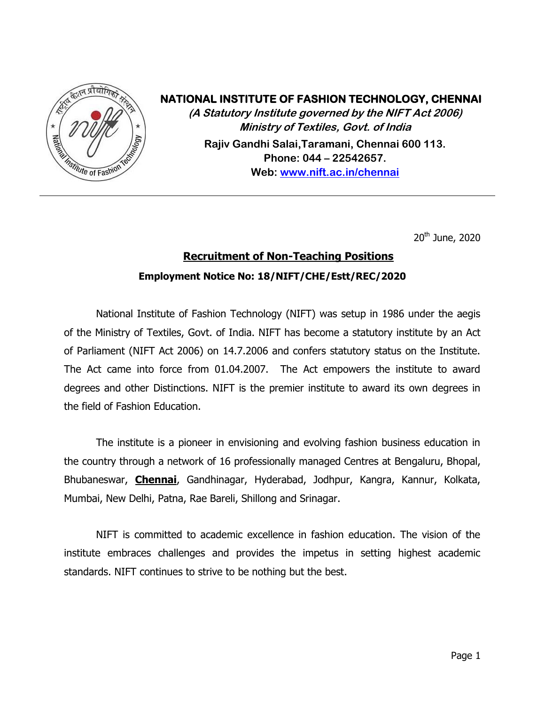

## **NATIONAL INSTITUTE OF FASHION TECHNOLOGY, CHENNAI**

**(A Statutory Institute governed by the NIFT Act 2006) Ministry of Textiles, Govt. of India Rajiv Gandhi Salai,Taramani, Chennai 600 113. Phone: 044 – 22542657. Web: [www.nift.ac.in/chennai](http://www.nift.ac.in/chennai)**

20<sup>th</sup> June, 2020

# **Recruitment of Non-Teaching Positions Employment Notice No: 18/NIFT/CHE/Estt/REC/2020**

National Institute of Fashion Technology (NIFT) was setup in 1986 under the aegis of the Ministry of Textiles, Govt. of India. NIFT has become a statutory institute by an Act of Parliament (NIFT Act 2006) on 14.7.2006 and confers statutory status on the Institute. The Act came into force from 01.04.2007. The Act empowers the institute to award degrees and other Distinctions. NIFT is the premier institute to award its own degrees in the field of Fashion Education.

The institute is a pioneer in envisioning and evolving fashion business education in the country through a network of 16 professionally managed Centres at Bengaluru, Bhopal, Bhubaneswar, **Chennai**, Gandhinagar, Hyderabad, Jodhpur, Kangra, Kannur, Kolkata, Mumbai, New Delhi, Patna, Rae Bareli, Shillong and Srinagar.

NIFT is committed to academic excellence in fashion education. The vision of the institute embraces challenges and provides the impetus in setting highest academic standards. NIFT continues to strive to be nothing but the best.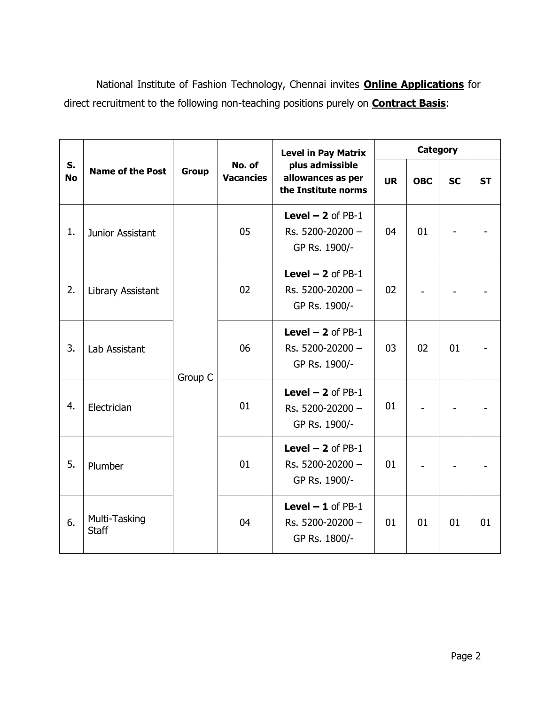National Institute of Fashion Technology, Chennai invites **Online Applications** for direct recruitment to the following non-teaching positions purely on **Contract Basis**:

| S.<br><b>No</b> | <b>Name of the Post</b>       | <b>Group</b> | No. of<br><b>Vacancies</b> | <b>Level in Pay Matrix</b><br>plus admissible<br>allowances as per<br>the Institute norms | <b>Category</b> |            |           |           |
|-----------------|-------------------------------|--------------|----------------------------|-------------------------------------------------------------------------------------------|-----------------|------------|-----------|-----------|
|                 |                               |              |                            |                                                                                           | <b>UR</b>       | <b>OBC</b> | <b>SC</b> | <b>ST</b> |
| 1.              | Junior Assistant              | Group C      | 05                         | Level $-2$ of PB-1<br>Rs. 5200-20200 -<br>GP Rs. 1900/-                                   | 04              | 01         |           |           |
| 2.              | Library Assistant             |              | 02                         | Level $-2$ of PB-1<br>Rs. 5200-20200 -<br>GP Rs. 1900/-                                   | 02              |            |           |           |
| 3.              | <b>Lab Assistant</b>          |              | 06                         | Level $-2$ of PB-1<br>Rs. 5200-20200 -<br>GP Rs. 1900/-                                   | 03              | 02         | 01        |           |
| 4.              | Electrician                   |              | 01                         | Level $-2$ of PB-1<br>Rs. 5200-20200 -<br>GP Rs. 1900/-                                   | 01              |            |           |           |
| 5.              | Plumber                       |              | 01                         | Level $-2$ of PB-1<br>Rs. 5200-20200 -<br>GP Rs. 1900/-                                   | 01              |            |           |           |
| 6.              | Multi-Tasking<br><b>Staff</b> |              | 04                         | Level $-1$ of PB-1<br>Rs. 5200-20200 -<br>GP Rs. 1800/-                                   | 01              | 01         | 01        | 01        |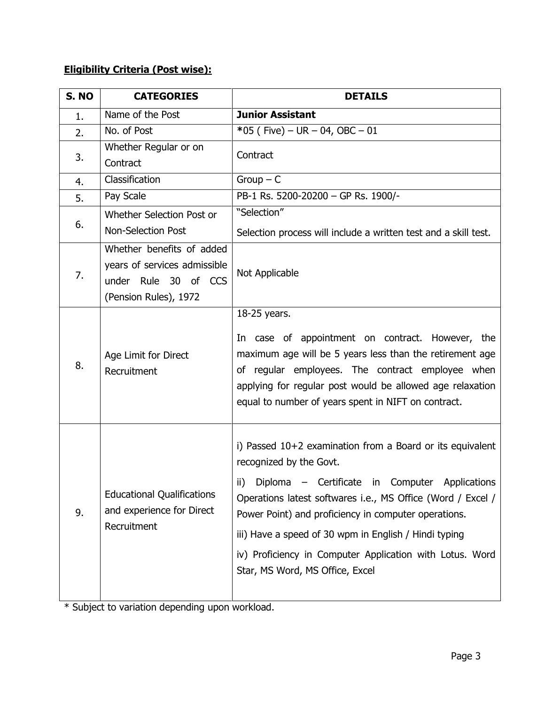## **Eligibility Criteria (Post wise):**

| S. NO | <b>CATEGORIES</b>                                                                                          | <b>DETAILS</b>                                                                                                                                                                                                                                                                                                                                                                                                               |
|-------|------------------------------------------------------------------------------------------------------------|------------------------------------------------------------------------------------------------------------------------------------------------------------------------------------------------------------------------------------------------------------------------------------------------------------------------------------------------------------------------------------------------------------------------------|
| 1.    | Name of the Post                                                                                           | <b>Junior Assistant</b>                                                                                                                                                                                                                                                                                                                                                                                                      |
| 2.    | No. of Post                                                                                                | *05 (Five) – UR – 04, OBC – 01                                                                                                                                                                                                                                                                                                                                                                                               |
|       | Whether Regular or on                                                                                      | Contract                                                                                                                                                                                                                                                                                                                                                                                                                     |
| 3.    | Contract                                                                                                   |                                                                                                                                                                                                                                                                                                                                                                                                                              |
| 4.    | Classification                                                                                             | $Group - C$                                                                                                                                                                                                                                                                                                                                                                                                                  |
| 5.    | Pay Scale                                                                                                  | PB-1 Rs. 5200-20200 - GP Rs. 1900/-                                                                                                                                                                                                                                                                                                                                                                                          |
|       | Whether Selection Post or                                                                                  | "Selection"                                                                                                                                                                                                                                                                                                                                                                                                                  |
| 6.    | <b>Non-Selection Post</b>                                                                                  | Selection process will include a written test and a skill test.                                                                                                                                                                                                                                                                                                                                                              |
| 7.    | Whether benefits of added<br>years of services admissible<br>under Rule 30 of CCS<br>(Pension Rules), 1972 | Not Applicable                                                                                                                                                                                                                                                                                                                                                                                                               |
| 8.    | Age Limit for Direct<br>Recruitment                                                                        | 18-25 years.<br>In case of appointment on contract. However, the<br>maximum age will be 5 years less than the retirement age<br>of regular employees. The contract employee when<br>applying for regular post would be allowed age relaxation<br>equal to number of years spent in NIFT on contract.                                                                                                                         |
| 9.    | <b>Educational Qualifications</b><br>and experience for Direct<br>Recruitment                              | i) Passed 10+2 examination from a Board or its equivalent<br>recognized by the Govt.<br>Diploma – Certificate in Computer Applications<br>ii)<br>Operations latest softwares i.e., MS Office (Word / Excel /<br>Power Point) and proficiency in computer operations.<br>iii) Have a speed of 30 wpm in English / Hindi typing<br>iv) Proficiency in Computer Application with Lotus. Word<br>Star, MS Word, MS Office, Excel |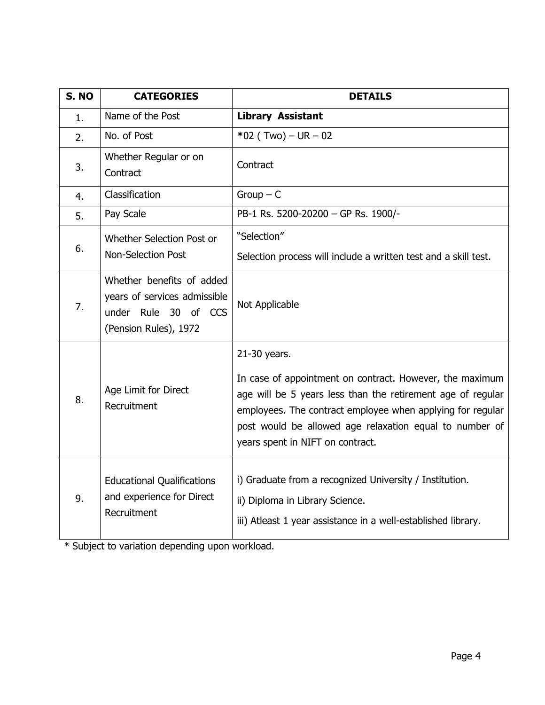| S. NO | <b>CATEGORIES</b>                                                                                          | <b>DETAILS</b>                                                                                                                                                                                                                                                                                       |  |  |
|-------|------------------------------------------------------------------------------------------------------------|------------------------------------------------------------------------------------------------------------------------------------------------------------------------------------------------------------------------------------------------------------------------------------------------------|--|--|
| 1.    | Name of the Post                                                                                           | <b>Library Assistant</b>                                                                                                                                                                                                                                                                             |  |  |
| 2.    | No. of Post                                                                                                | $*02$ (Two) – UR – 02                                                                                                                                                                                                                                                                                |  |  |
| 3.    | Whether Regular or on<br>Contract                                                                          | Contract                                                                                                                                                                                                                                                                                             |  |  |
| 4.    | Classification                                                                                             | $Group - C$                                                                                                                                                                                                                                                                                          |  |  |
| 5.    | Pay Scale                                                                                                  | PB-1 Rs. 5200-20200 - GP Rs. 1900/-                                                                                                                                                                                                                                                                  |  |  |
| 6.    | Whether Selection Post or                                                                                  | "Selection"                                                                                                                                                                                                                                                                                          |  |  |
|       | <b>Non-Selection Post</b>                                                                                  | Selection process will include a written test and a skill test.                                                                                                                                                                                                                                      |  |  |
| 7.    | Whether benefits of added<br>years of services admissible<br>under Rule 30 of CCS<br>(Pension Rules), 1972 | Not Applicable                                                                                                                                                                                                                                                                                       |  |  |
| 8.    | Age Limit for Direct<br>Recruitment                                                                        | 21-30 years.<br>In case of appointment on contract. However, the maximum<br>age will be 5 years less than the retirement age of regular<br>employees. The contract employee when applying for regular<br>post would be allowed age relaxation equal to number of<br>years spent in NIFT on contract. |  |  |
| 9.    | <b>Educational Qualifications</b><br>and experience for Direct<br>Recruitment                              | i) Graduate from a recognized University / Institution.<br>ii) Diploma in Library Science.<br>iii) Atleast 1 year assistance in a well-established library.                                                                                                                                          |  |  |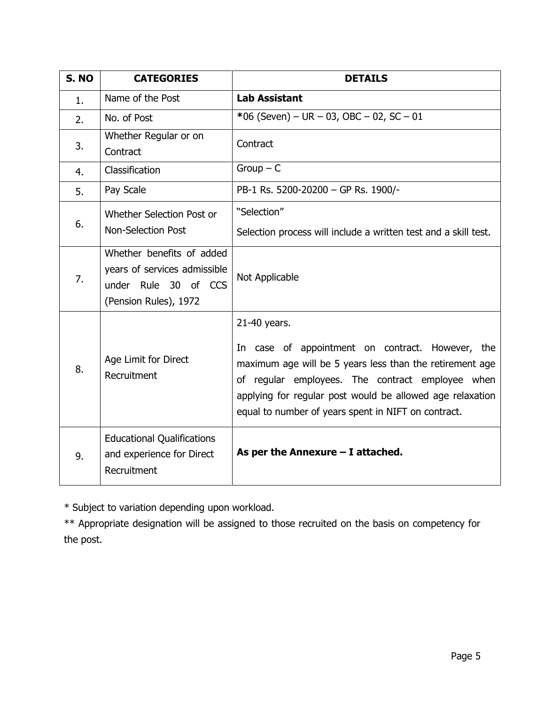| S. NO | <b>CATEGORIES</b>                                                                                          | <b>DETAILS</b>                                                                                                                                                                                                                                                                                       |
|-------|------------------------------------------------------------------------------------------------------------|------------------------------------------------------------------------------------------------------------------------------------------------------------------------------------------------------------------------------------------------------------------------------------------------------|
| 1.    | Name of the Post                                                                                           | <b>Lab Assistant</b>                                                                                                                                                                                                                                                                                 |
| 2.    | No. of Post                                                                                                | *06 (Seven) – UR – 03, OBC – 02, SC – 01                                                                                                                                                                                                                                                             |
| 3.    | Whether Regular or on<br>Contract                                                                          | Contract                                                                                                                                                                                                                                                                                             |
| 4.    | Classification                                                                                             | $Group - C$                                                                                                                                                                                                                                                                                          |
| 5.    | Pay Scale                                                                                                  | PB-1 Rs. 5200-20200 - GP Rs. 1900/-                                                                                                                                                                                                                                                                  |
| 6.    | Whether Selection Post or<br><b>Non-Selection Post</b>                                                     | "Selection"<br>Selection process will include a written test and a skill test.                                                                                                                                                                                                                       |
| 7.    | Whether benefits of added<br>years of services admissible<br>under Rule 30 of CCS<br>(Pension Rules), 1972 | Not Applicable                                                                                                                                                                                                                                                                                       |
| 8.    | Age Limit for Direct<br>Recruitment                                                                        | 21-40 years.<br>In case of appointment on contract. However, the<br>maximum age will be 5 years less than the retirement age<br>of regular employees. The contract employee when<br>applying for regular post would be allowed age relaxation<br>equal to number of years spent in NIFT on contract. |
| 9.    | <b>Educational Qualifications</b><br>and experience for Direct<br>Recruitment                              | As per the Annexure $-$ I attached.                                                                                                                                                                                                                                                                  |

\*\* Appropriate designation will be assigned to those recruited on the basis on competency for the post.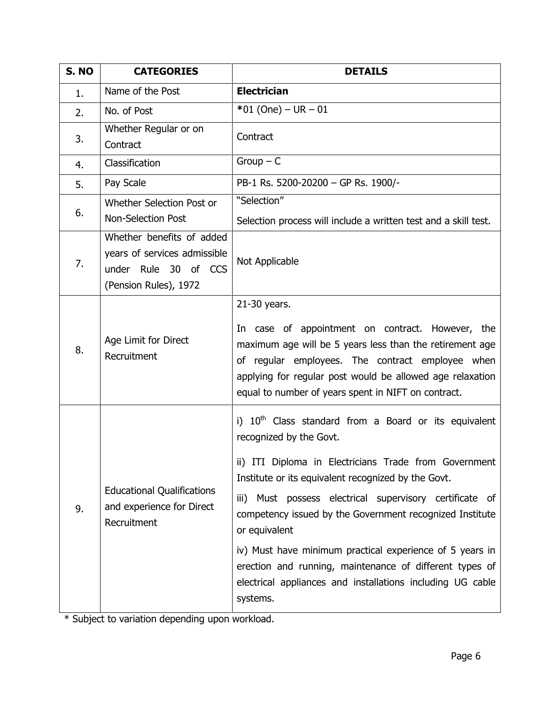| S. NO | <b>CATEGORIES</b>                                                                                          | <b>DETAILS</b>                                                                                                                                                                                                                                                                                                                                                                                                                                                                                                                              |  |  |
|-------|------------------------------------------------------------------------------------------------------------|---------------------------------------------------------------------------------------------------------------------------------------------------------------------------------------------------------------------------------------------------------------------------------------------------------------------------------------------------------------------------------------------------------------------------------------------------------------------------------------------------------------------------------------------|--|--|
| 1.    | Name of the Post                                                                                           | <b>Electrician</b>                                                                                                                                                                                                                                                                                                                                                                                                                                                                                                                          |  |  |
| 2.    | No. of Post                                                                                                | $*01$ (One) – UR – 01                                                                                                                                                                                                                                                                                                                                                                                                                                                                                                                       |  |  |
| 3.    | Whether Regular or on<br>Contract                                                                          | Contract                                                                                                                                                                                                                                                                                                                                                                                                                                                                                                                                    |  |  |
| 4.    | Classification                                                                                             | $Group - C$                                                                                                                                                                                                                                                                                                                                                                                                                                                                                                                                 |  |  |
| 5.    | Pay Scale                                                                                                  | PB-1 Rs. 5200-20200 - GP Rs. 1900/-                                                                                                                                                                                                                                                                                                                                                                                                                                                                                                         |  |  |
| 6.    | Whether Selection Post or<br><b>Non-Selection Post</b>                                                     | "Selection"<br>Selection process will include a written test and a skill test.                                                                                                                                                                                                                                                                                                                                                                                                                                                              |  |  |
| 7.    | Whether benefits of added<br>years of services admissible<br>under Rule 30 of CCS<br>(Pension Rules), 1972 | Not Applicable                                                                                                                                                                                                                                                                                                                                                                                                                                                                                                                              |  |  |
| 8.    | Age Limit for Direct<br>Recruitment                                                                        | 21-30 years.<br>In case of appointment on contract. However, the<br>maximum age will be 5 years less than the retirement age<br>of regular employees. The contract employee when<br>applying for regular post would be allowed age relaxation<br>equal to number of years spent in NIFT on contract.                                                                                                                                                                                                                                        |  |  |
| 9.    | <b>Educational Qualifications</b><br>and experience for Direct<br>Recruitment                              | i) $10th$ Class standard from a Board or its equivalent<br>recognized by the Govt.<br>ii) ITI Diploma in Electricians Trade from Government<br>Institute or its equivalent recognized by the Govt.<br>iii) Must possess electrical supervisory certificate of<br>competency issued by the Government recognized Institute<br>or equivalent<br>iv) Must have minimum practical experience of 5 years in<br>erection and running, maintenance of different types of<br>electrical appliances and installations including UG cable<br>systems. |  |  |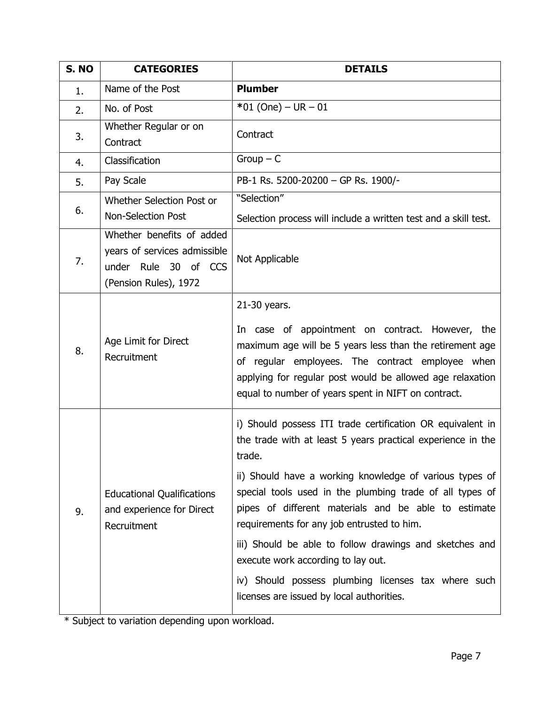| S. NO | <b>CATEGORIES</b>                                                                                          | <b>DETAILS</b>                                                                                                                                                                                                                                                                                                                                                                                                                                                                                                                                                        |  |  |
|-------|------------------------------------------------------------------------------------------------------------|-----------------------------------------------------------------------------------------------------------------------------------------------------------------------------------------------------------------------------------------------------------------------------------------------------------------------------------------------------------------------------------------------------------------------------------------------------------------------------------------------------------------------------------------------------------------------|--|--|
| 1.    | Name of the Post                                                                                           | <b>Plumber</b>                                                                                                                                                                                                                                                                                                                                                                                                                                                                                                                                                        |  |  |
| 2.    | No. of Post                                                                                                | $*01$ (One) – UR – 01                                                                                                                                                                                                                                                                                                                                                                                                                                                                                                                                                 |  |  |
| 3.    | Whether Regular or on<br>Contract                                                                          | Contract                                                                                                                                                                                                                                                                                                                                                                                                                                                                                                                                                              |  |  |
| 4.    | Classification                                                                                             | $Group - C$                                                                                                                                                                                                                                                                                                                                                                                                                                                                                                                                                           |  |  |
| 5.    | Pay Scale                                                                                                  | PB-1 Rs. 5200-20200 - GP Rs. 1900/-                                                                                                                                                                                                                                                                                                                                                                                                                                                                                                                                   |  |  |
| 6.    | Whether Selection Post or<br><b>Non-Selection Post</b>                                                     | "Selection"<br>Selection process will include a written test and a skill test.                                                                                                                                                                                                                                                                                                                                                                                                                                                                                        |  |  |
| 7.    | Whether benefits of added<br>years of services admissible<br>under Rule 30 of CCS<br>(Pension Rules), 1972 | Not Applicable                                                                                                                                                                                                                                                                                                                                                                                                                                                                                                                                                        |  |  |
| 8.    | Age Limit for Direct<br>Recruitment                                                                        | 21-30 years.<br>In case of appointment on contract. However, the<br>maximum age will be 5 years less than the retirement age<br>of regular employees. The contract employee when<br>applying for regular post would be allowed age relaxation<br>equal to number of years spent in NIFT on contract.                                                                                                                                                                                                                                                                  |  |  |
| 9.    | <b>Educational Qualifications</b><br>and experience for Direct<br>Recruitment                              | i) Should possess ITI trade certification OR equivalent in<br>the trade with at least 5 years practical experience in the<br>trade.<br>ii) Should have a working knowledge of various types of<br>special tools used in the plumbing trade of all types of<br>pipes of different materials and be able to estimate<br>requirements for any job entrusted to him.<br>iii) Should be able to follow drawings and sketches and<br>execute work according to lay out.<br>iv) Should possess plumbing licenses tax where such<br>licenses are issued by local authorities. |  |  |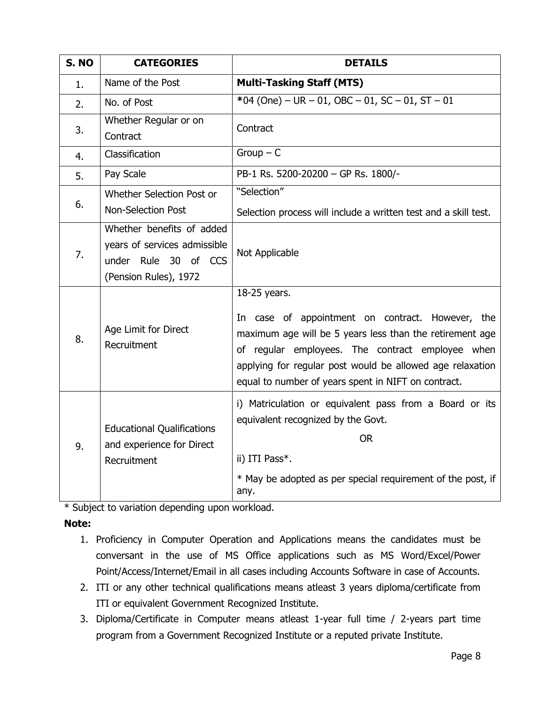| S. NO | <b>CATEGORIES</b>                                                                                          | <b>DETAILS</b>                                                                                                                                                                                                                                                                                       |
|-------|------------------------------------------------------------------------------------------------------------|------------------------------------------------------------------------------------------------------------------------------------------------------------------------------------------------------------------------------------------------------------------------------------------------------|
| 1.    | Name of the Post                                                                                           | <b>Multi-Tasking Staff (MTS)</b>                                                                                                                                                                                                                                                                     |
| 2.    | No. of Post                                                                                                | *04 (One) - UR - 01, OBC - 01, SC - 01, ST - 01                                                                                                                                                                                                                                                      |
| 3.    | Whether Regular or on<br>Contract                                                                          | Contract                                                                                                                                                                                                                                                                                             |
| 4.    | Classification                                                                                             | $Group - C$                                                                                                                                                                                                                                                                                          |
| 5.    | Pay Scale                                                                                                  | PB-1 Rs. 5200-20200 - GP Rs. 1800/-                                                                                                                                                                                                                                                                  |
| 6.    | Whether Selection Post or                                                                                  | "Selection"                                                                                                                                                                                                                                                                                          |
|       | <b>Non-Selection Post</b>                                                                                  | Selection process will include a written test and a skill test.                                                                                                                                                                                                                                      |
| 7.    | Whether benefits of added<br>years of services admissible<br>under Rule 30 of CCS<br>(Pension Rules), 1972 | Not Applicable                                                                                                                                                                                                                                                                                       |
| 8.    | Age Limit for Direct<br>Recruitment                                                                        | 18-25 years.<br>In case of appointment on contract. However, the<br>maximum age will be 5 years less than the retirement age<br>of regular employees. The contract employee when<br>applying for regular post would be allowed age relaxation<br>equal to number of years spent in NIFT on contract. |
| 9.    | <b>Educational Qualifications</b><br>and experience for Direct<br>Recruitment                              | i) Matriculation or equivalent pass from a Board or its<br>equivalent recognized by the Govt.<br><b>OR</b><br>ii) ITI Pass*.<br>* May be adopted as per special requirement of the post, if<br>any.                                                                                                  |

**Note:** 

- 1. Proficiency in Computer Operation and Applications means the candidates must be conversant in the use of MS Office applications such as MS Word/Excel/Power Point/Access/Internet/Email in all cases including Accounts Software in case of Accounts.
- 2. ITI or any other technical qualifications means atleast 3 years diploma/certificate from ITI or equivalent Government Recognized Institute.
- 3. Diploma/Certificate in Computer means atleast 1-year full time / 2-years part time program from a Government Recognized Institute or a reputed private Institute.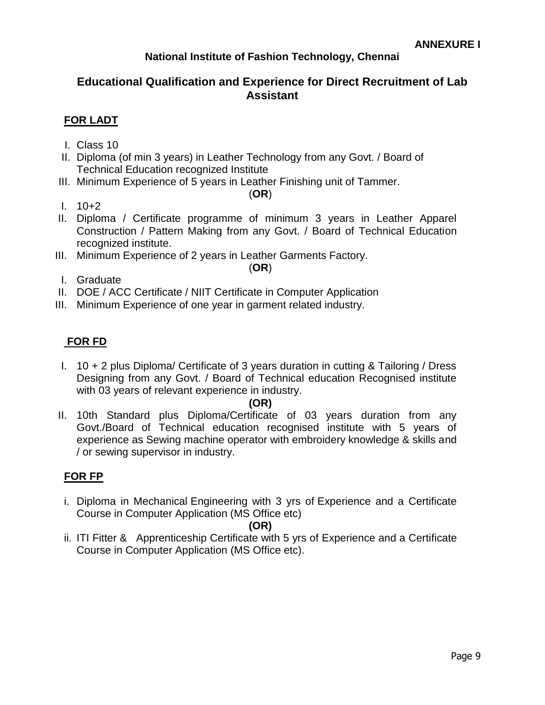## **National Institute of Fashion Technology, Chennai**

## **Educational Qualification and Experience for Direct Recruitment of Lab Assistant**

## **FOR LADT**

- I. Class 10
- II. Diploma (of min 3 years) in Leather Technology from any Govt. / Board of Technical Education recognized Institute
- III. Minimum Experience of 5 years in Leather Finishing unit of Tammer.

(**OR**)

- I. 10+2
- II. Diploma / Certificate programme of minimum 3 years in Leather Apparel Construction / Pattern Making from any Govt. / Board of Technical Education recognized institute.
- III. Minimum Experience of 2 years in Leather Garments Factory.

(**OR**)

- I. Graduate
- II. DOE / ACC Certificate / NIIT Certificate in Computer Application
- III. Minimum Experience of one year in garment related industry.

## **FOR FD**

I. 10 + 2 plus Diploma/ Certificate of 3 years duration in cutting & Tailoring / Dress Designing from any Govt. / Board of Technical education Recognised institute with 03 years of relevant experience in industry.

### **(OR)**

II. 10th Standard plus Diploma/Certificate of 03 years duration from any Govt./Board of Technical education recognised institute with 5 years of experience as Sewing machine operator with embroidery knowledge & skills and / or sewing supervisor in industry.

## **FOR FP**

i. Diploma in Mechanical Engineering with 3 yrs of Experience and a Certificate Course in Computer Application (MS Office etc)

### **(OR)**

ii. ITI Fitter & Apprenticeship Certificate with 5 yrs of Experience and a Certificate Course in Computer Application (MS Office etc).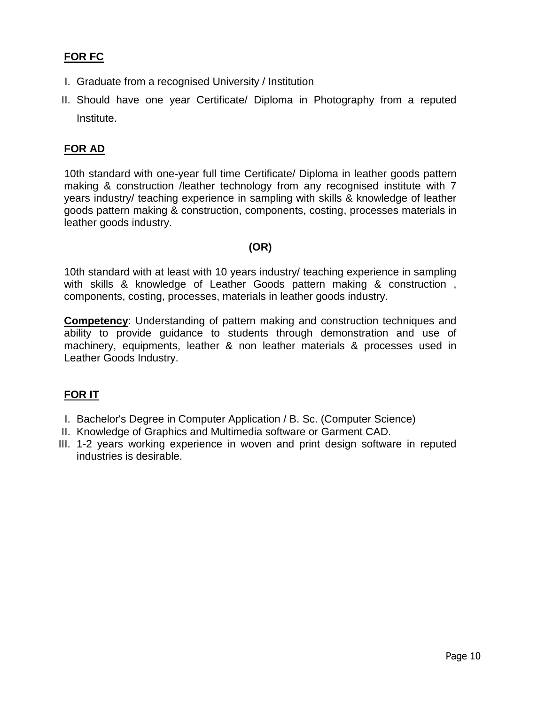## **FOR FC**

- I. Graduate from a recognised University / Institution
- II. Should have one year Certificate/ Diploma in Photography from a reputed Institute.

## **FOR AD**

10th standard with one-year full time Certificate/ Diploma in leather goods pattern making & construction /leather technology from any recognised institute with 7 years industry/ teaching experience in sampling with skills & knowledge of leather goods pattern making & construction, components, costing, processes materials in leather goods industry.

### **(OR)**

10th standard with at least with 10 years industry/ teaching experience in sampling with skills & knowledge of Leather Goods pattern making & construction , components, costing, processes, materials in leather goods industry.

**Competency**: Understanding of pattern making and construction techniques and ability to provide guidance to students through demonstration and use of machinery, equipments, leather & non leather materials & processes used in Leather Goods Industry.

### **FOR IT**

- I. Bachelor's Degree in Computer Application / B. Sc. (Computer Science)
- II. Knowledge of Graphics and Multimedia software or Garment CAD.
- III. 1-2 years working experience in woven and print design software in reputed industries is desirable.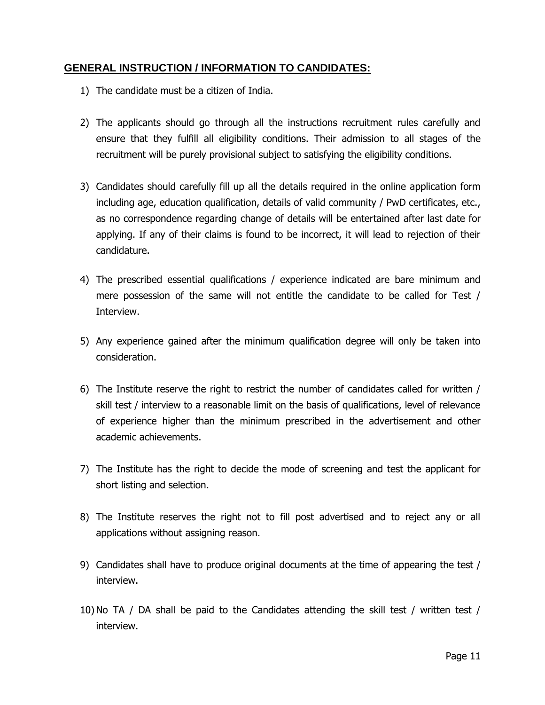## **GENERAL INSTRUCTION / INFORMATION TO CANDIDATES:**

- 1) The candidate must be a citizen of India.
- 2) The applicants should go through all the instructions recruitment rules carefully and ensure that they fulfill all eligibility conditions. Their admission to all stages of the recruitment will be purely provisional subject to satisfying the eligibility conditions.
- 3) Candidates should carefully fill up all the details required in the online application form including age, education qualification, details of valid community / PwD certificates, etc., as no correspondence regarding change of details will be entertained after last date for applying. If any of their claims is found to be incorrect, it will lead to rejection of their candidature.
- 4) The prescribed essential qualifications / experience indicated are bare minimum and mere possession of the same will not entitle the candidate to be called for Test / Interview.
- 5) Any experience gained after the minimum qualification degree will only be taken into consideration.
- 6) The Institute reserve the right to restrict the number of candidates called for written / skill test / interview to a reasonable limit on the basis of qualifications, level of relevance of experience higher than the minimum prescribed in the advertisement and other academic achievements.
- 7) The Institute has the right to decide the mode of screening and test the applicant for short listing and selection.
- 8) The Institute reserves the right not to fill post advertised and to reject any or all applications without assigning reason.
- 9) Candidates shall have to produce original documents at the time of appearing the test / interview.
- 10)No TA / DA shall be paid to the Candidates attending the skill test / written test / interview.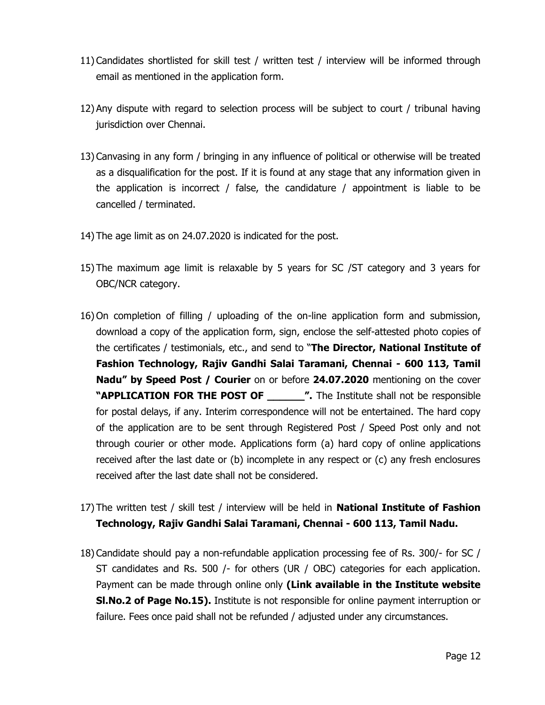- 11) Candidates shortlisted for skill test / written test / interview will be informed through email as mentioned in the application form.
- 12) Any dispute with regard to selection process will be subject to court / tribunal having jurisdiction over Chennai.
- 13) Canvasing in any form / bringing in any influence of political or otherwise will be treated as a disqualification for the post. If it is found at any stage that any information given in the application is incorrect / false, the candidature / appointment is liable to be cancelled / terminated.
- 14) The age limit as on 24.07.2020 is indicated for the post.
- 15) The maximum age limit is relaxable by 5 years for SC /ST category and 3 years for OBC/NCR category.
- 16) On completion of filling / uploading of the on-line application form and submission, download a copy of the application form, sign, enclose the self-attested photo copies of the certificates / testimonials, etc., and send to "**The Director, National Institute of Fashion Technology, Rajiv Gandhi Salai Taramani, Chennai - 600 113, Tamil Nadu" by Speed Post / Courier** on or before **24.07.2020** mentioning on the cover **"APPLICATION FOR THE POST OF THE FILM THE Institute shall not be responsible** for postal delays, if any. Interim correspondence will not be entertained. The hard copy of the application are to be sent through Registered Post / Speed Post only and not through courier or other mode. Applications form (a) hard copy of online applications received after the last date or (b) incomplete in any respect or (c) any fresh enclosures received after the last date shall not be considered.
- 17) The written test / skill test / interview will be held in **National Institute of Fashion Technology, Rajiv Gandhi Salai Taramani, Chennai - 600 113, Tamil Nadu.**
- 18) Candidate should pay a non-refundable application processing fee of Rs. 300/- for SC / ST candidates and Rs. 500 /- for others (UR / OBC) categories for each application. Payment can be made through online only **(Link available in the Institute website Sl.No.2 of Page No.15).** Institute is not responsible for online payment interruption or failure. Fees once paid shall not be refunded / adjusted under any circumstances.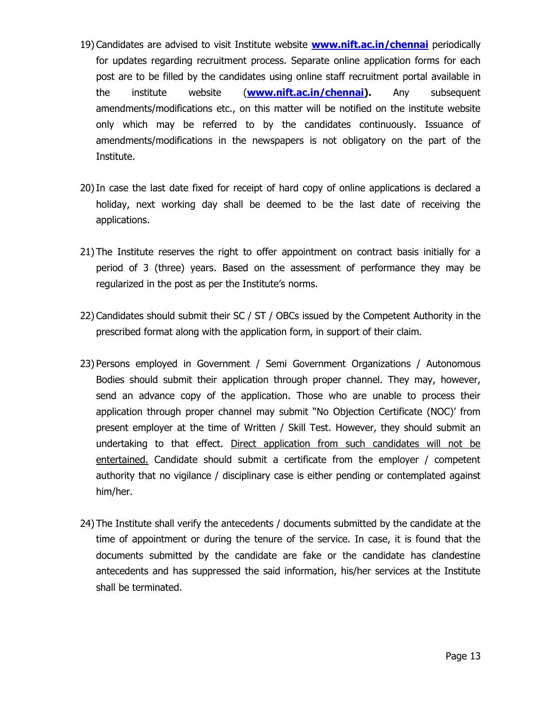- 19) Candidates are advised to visit Institute website **[www.nift.ac.in/chennai](http://www.nift.ac.in/chennai)** periodically for updates regarding recruitment process. Separate online application forms for each post are to be filled by the candidates using online staff recruitment portal available in the institute website (**[www.nift.ac.in/chennai\)](http://www.nift.ac.in/chennai).** Any subsequent amendments/modifications etc., on this matter will be notified on the institute website only which may be referred to by the candidates continuously. Issuance of amendments/modifications in the newspapers is not obligatory on the part of the Institute.
- 20)In case the last date fixed for receipt of hard copy of online applications is declared a holiday, next working day shall be deemed to be the last date of receiving the applications.
- 21) The Institute reserves the right to offer appointment on contract basis initially for a period of 3 (three) years. Based on the assessment of performance they may be regularized in the post as per the Institute's norms.
- 22) Candidates should submit their SC / ST / OBCs issued by the Competent Authority in the prescribed format along with the application form, in support of their claim.
- 23) Persons employed in Government / Semi Government Organizations / Autonomous Bodies should submit their application through proper channel. They may, however, send an advance copy of the application. Those who are unable to process their application through proper channel may submit "No Objection Certificate (NOC)' from present employer at the time of Written / Skill Test. However, they should submit an undertaking to that effect. Direct application from such candidates will not be entertained. Candidate should submit a certificate from the employer / competent authority that no vigilance / disciplinary case is either pending or contemplated against him/her.
- 24) The Institute shall verify the antecedents / documents submitted by the candidate at the time of appointment or during the tenure of the service. In case, it is found that the documents submitted by the candidate are fake or the candidate has clandestine antecedents and has suppressed the said information, his/her services at the Institute shall be terminated.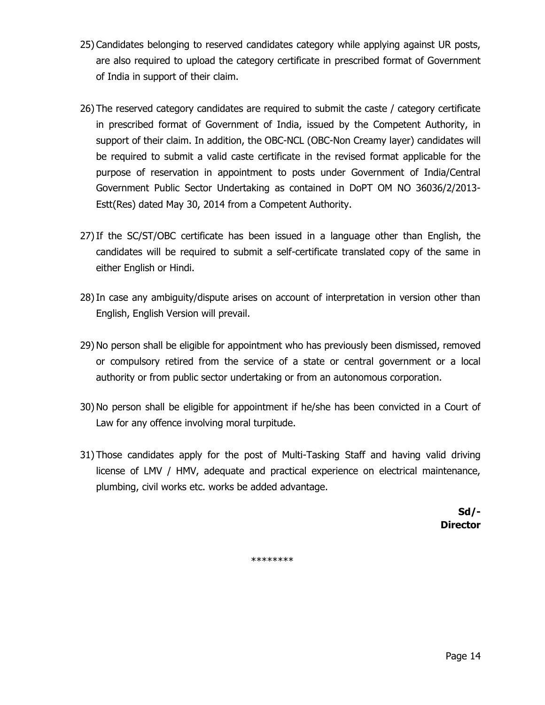- 25) Candidates belonging to reserved candidates category while applying against UR posts, are also required to upload the category certificate in prescribed format of Government of India in support of their claim.
- 26) The reserved category candidates are required to submit the caste / category certificate in prescribed format of Government of India, issued by the Competent Authority, in support of their claim. In addition, the OBC-NCL (OBC-Non Creamy layer) candidates will be required to submit a valid caste certificate in the revised format applicable for the purpose of reservation in appointment to posts under Government of India/Central Government Public Sector Undertaking as contained in DoPT OM NO 36036/2/2013- Estt(Res) dated May 30, 2014 from a Competent Authority.
- 27)If the SC/ST/OBC certificate has been issued in a language other than English, the candidates will be required to submit a self-certificate translated copy of the same in either English or Hindi.
- 28)In case any ambiguity/dispute arises on account of interpretation in version other than English, English Version will prevail.
- 29)No person shall be eligible for appointment who has previously been dismissed, removed or compulsory retired from the service of a state or central government or a local authority or from public sector undertaking or from an autonomous corporation.
- 30)No person shall be eligible for appointment if he/she has been convicted in a Court of Law for any offence involving moral turpitude.
- 31) Those candidates apply for the post of Multi-Tasking Staff and having valid driving license of LMV / HMV, adequate and practical experience on electrical maintenance, plumbing, civil works etc. works be added advantage.

**Sd/- Director**

\*\*\*\*\*\*\*\*